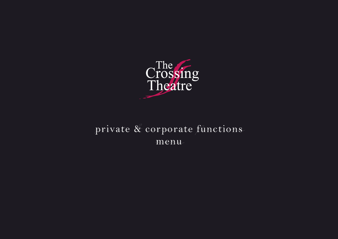

### private & corporate functions *private & corporate functionsmenu* menu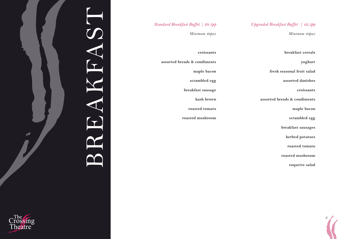### *Upgraded Breakfast Buffet | 42.5pp*

*Minimum 40pax*

### *Standard Breakfast Buffet | 29.5pp*

*Minimum 40pax*

**breakfast cereals** 

**yoghurt** 

**fresh seasonal fruit salad** 

**assorted danishes** 

**croissants** 

**assorted breads & condiments** 

**maple bacon** 

**scrambled egg**

**breakfast sausages** 

**herbed potatoes** 

**roasted tomato** 

**roasted mushroom** 

**roquette salad** 

*2*

| croissants                   |
|------------------------------|
| assorted breads & condiments |
| maple bacon                  |
| scrambled egg                |
| breakfast sausage            |
| hash brown                   |
| roasted tomato               |
| roasted mushroom             |
|                              |
|                              |
|                              |
|                              |

### FAST BREAKFAST REA

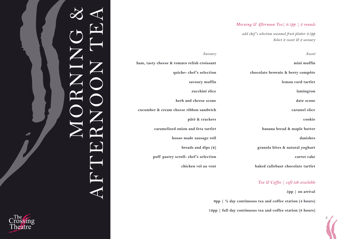### *Morning & Afternoon Tea| 9.5pp | 2 rounds*

*add chef 's selection seasonal fruit platter 2.3pp Select 2 sweet & 2 savoury* 

| Sweet                             |
|-----------------------------------|
| mini muffin                       |
| chocolate brownie & berry compôte |
| lemon curd tartlet                |
| lamington                         |
| date scone                        |
| caramel slice                     |
| cookie                            |
| banana bread & maple butter       |
| danishes                          |
| granola bites & natural yoghurt   |
| carrot cake                       |
| baked callebaut chocolate tartlet |
|                                   |

### *Tea & Coffee | café tab available*

**5pp | on arrival** 

*3*

 **9pp | ½ day continuous tea and coffee station (4 hours)**

**12pp | full day continuous tea and coffee station (8 hours)**



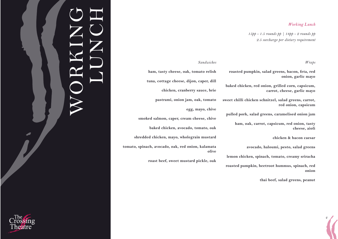### *Working Lunch*

*15pp - 1.5 rounds pp | 18pp - 2 rounds pp 2.5 surcharge per dietary requirement*

### *Wraps*

**roasted pumpkin, salad greens, bacon, feta, red onion, garlic mayo**

**baked chicken, red onion, grilled corn, capsicum, carrot, cheese, garlic mayo** 

**sweet chilli chicken schnitzel, salad greens, carrot, red onion, capsicum**

**pulled pork, salad greens, caramelised onion jam**

**ham, oak, carrot, capsicum, red onion, tasty cheese, aioli** 

**chicken & bacon caesar** 

**avocado, haloumi, pesto, salad greens** 

**lemon chicken, spinach, tomato, creamy sriracha**

**roasted pumpkin, beetroot hummus, spinach, red onion**

**thai beef, salad greens, peanut** 

*4*

### *Sandwiches*

**ham, tasty cheese, oak, tomato relish** 

**tuna, cottage cheese, dijon, caper, dill** 

**chicken, cranberry sauce, brie** 

**pastrami, onion jam, oak, tomato** 

**egg, mayo, chive**

**smoked salmon, caper, cream cheese, chive** 

**baked chicken, avocado, tomato, oak** 

**shredded chicken, mayo, wholegrain mustard** 

**tomato, spinach, avocado, oak, red onion, kalamata olive** 

**roast beef, sweet mustard pickle, oak** 



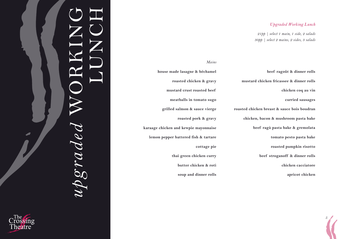### *Upgraded Working Lunch*

*21pp | select 1 main, 1 side, 2 salads 30pp | select 2 mains, 2 sides, 3 salads*

**beef ragoût & dinner rolls mustard chicken fricassee & dinner rolls chicken coq au vin curried sausages roasted chicken breast & sauce bois boudran chicken, bacon & mushroom pasta bake beef ragù pasta bake & gremolata tomato pesto pasta bake roasted pumpkin risotto beef stroganoff & dinner rolls chicken cacciatore apricot chicken** 

*5*

*Mains* **house made lasagne & béchamel roasted chicken & gravy mustard crust roasted beef meatballs in tomato sugo grilled salmon & sauce vierge roasted pork & gravy karaage chicken and kewpie mayonnaise lemon pepper battered fish & tartare cottage pie thai green chicken curry butter chicken & roti soup and dinner rolls** 



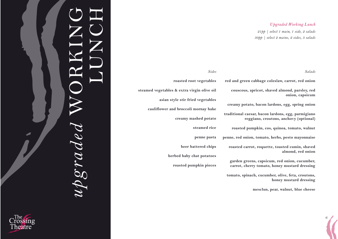### *Upgraded Working Lunch*

*21pp | select 1 main, 1 side, 2 salads 30pp | select 2 mains, 2 sides, 3 salads*

*Salads*

*6*

**red and green cabbage coleslaw, carrot, red onion**

**couscous, apricot, shaved almond, parsley, red onion, capsicum** 

**creamy potato, bacon lardons, egg, spring onion**

**traditional caesar, bacon lardons, egg, parmigiano reggiano, croutons, anchovy (optional)** 

**roasted pumpkin, cos, quinoa, tomato, walnut** 

**penne, red onion, tomato, herbs, pesto mayonnaise** 

**roasted carrot, roquette, toasted cumin, shaved almond, red onion** 

**garden greens, capsicum, red onion, cucumber, carrot, cherry tomato, honey mustard dressing** 

**tomato, spinach, cucumber, olive, feta, croutons, honey mustard dressing** 

**mesclun, pear, walnut, blue cheese** 

**roasted root vegetables steamed vegetables & extra virgin olive oil asian style stir fried vegetables cauliflower and broccoli mornay bake creamy mashed potato steamed rice penne pasta beer battered chips herbed baby chat potatoes roasted pumpkin pieces** 

*Sides*

# *upgraded* WORKING LUNCH  $\n upgm$

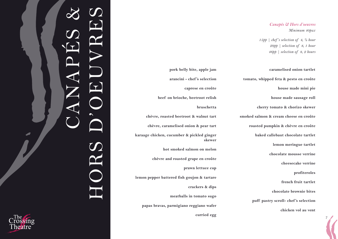### *Canapés & Hors d'oeuvres Minimum 40pax*

*15pp | chef 's selection of 4, ½ hour 29pp | selection of 8, 1 hour 46pp | selection of 8, 2 hours* 

### **caramelised onion tartlet tomato, whipped feta & pesto en croûte house made mini pie house made sausage roll cherry tomato & chorizo skewer smoked salmon & cream cheese en croûte roasted pumpkin & chèvre en croûte baked callebaut chocolate tartlet lemon meringue tartlet chocolate mousse verrine cheesecake verrine profiteroles french fruit tartlet chocolate brownie bites puff pastry scroll- chef 's selection chicken vol au vent**

*7*

**pork belly bite, apple jam arancini - chef 's selection caprese en croûte beef on brioche, beetroot relish bruschetta chèvre, roasted beetroot & walnut tart chèvre, caramelised onion & pear tart karaage chicken, cucumber & pickled ginger skewer hot smoked salmon on melon chèvre and roasted grape en croûte prawn lettuce cup lemon pepper battered fish goujon & tartare crackers & dips meatballs in tomato sugo papas bravas, parmigiano reggiano wafer curried egg**

# CANAPÉS & HORS D'OEUVRES HORS

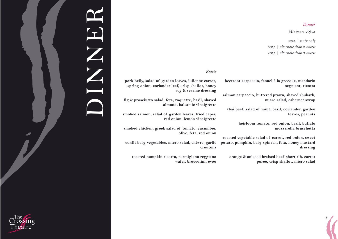### *Dinner*

*8*

*Minimum 40pax*

**segment, ricotta** 

**leaves, peanuts**

**dressing**

**mozzarella bruschetta** 

*42pp | main only 60pp | alternate drop 2 course 70pp | alternate drop 3 course*

**micro salad, cabernet syrup**

**beetroot carpaccio, fennel à la grecque, mandarin** 

**salmon carpaccio, buttered prawn, shaved rhubarb,** 

**thai beef, salad of mint, basil, coriander, garden** 

**roasted vegetable salad of carrot, red onion, sweet potato, pumpkin, baby spinach, feta, honey mustard** 

**orange & aniseed braised beef short rib, carrot** 

**purée, crisp shallot, micro salad** 

**heirloom tomato, red onion, basil, buffalo** 

### *Entrée*

**pork belly, salad of garden leaves, julienne carrot, spring onion, coriander leaf, crisp shallot, honey soy & sesame dressing** 

**fig & prosciutto salad, feta, roquette, basil, shaved almond, balsamic vinaigrette**

**smoked salmon, salad of garden leaves, fried caper, red onion, lemon vinaigrette**

**smoked chicken, greek salad of tomato, cucumber, olive, feta, red onion** 

**confit baby vegetables, micro salad, chèvre, garlic croutons** 

**roasted pumpkin risotto, parmigiano reggiano wafer, broccolini, evoo** 



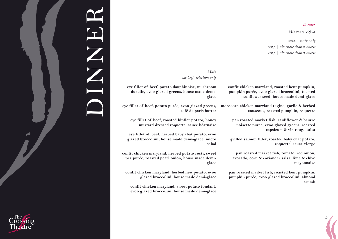### *Dinner*

*9*

*Minimum 40pax*

*42pp | main only 60pp | alternate drop 2 course 70pp | alternate drop 3 course*

### *Main one beef selection only*

**confit chicken maryland, roasted kent pumpkin, pumpkin purée, evoo glazed broccolini, toasted sunflower seed, house made demi-glace** 

**moroccan chicken maryland tagine, garlic & herbed couscous, roasted pumpkin, roquette** 

> **pan roasted market fish, cauliflower & beurre noisette purée, evoo glazed greens, roasted capsicum & vin rouge salsa**

**grilled salmon fillet, roasted baby chat potato, roquette, sauce vierge**

**pan roasted market fish, tomato, red onion, avocado, corn & coriander salsa, lime & chive mayonnaise** 

**pan roasted market fish, roasted kent pumpkin, pumpkin purée, evoo glazed broccolini, almond crumb** 

**eye fillet of beef, potato dauphinoise, mushroom duxelle, evoo glazed greens, house made demiglace**

**eye fillet of beef, potato purée, evoo glazed greens, café de paris butter**

**eye fillet of beef, roasted kipfler potato, honey mustard dressed roquette, sauce béarnaise** 

**eye fillet of beef, herbed baby chat potato, evoo glazed broccolini, house made demi-glace, micro salad** 

**confit chicken maryland, herbed potato rosti, sweet pea purée, roasted pearl onion, house made demiglace** 

**confit chicken maryland, herbed new potato, evoo glazed broccolini, house made demi-glace** 

**confit chicken maryland, sweet potato fondant, evoo glazed broccolini, house made demi-glace**

## DINNER Z<br>Z<br>C